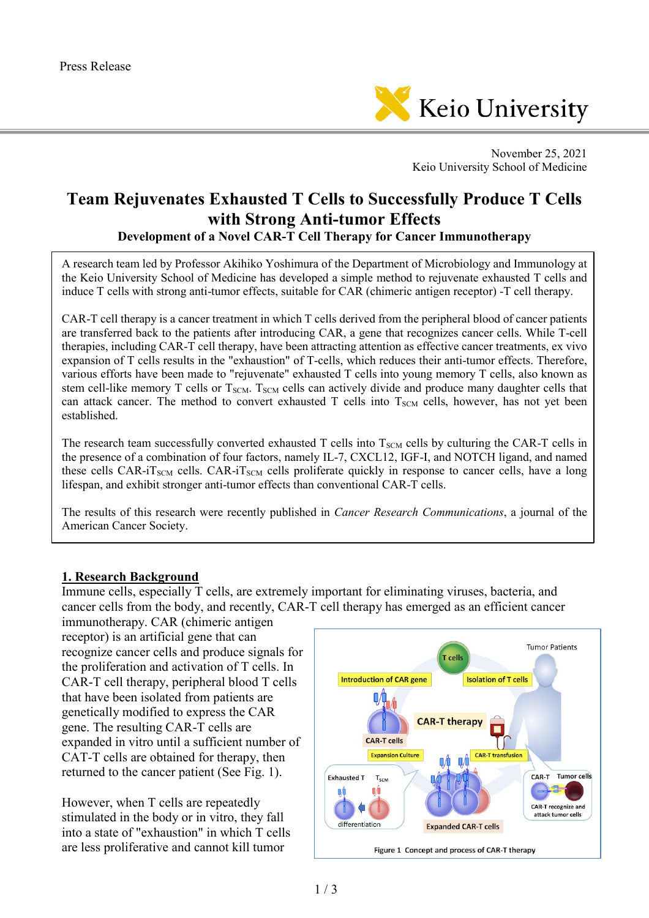

November 25, 2021 Keio University School of Medicine

# **Team Rejuvenates Exhausted T Cells to Successfully Produce T Cells with Strong Anti-tumor Effects Development of a Novel CAR-T Cell Therapy for Cancer Immunotherapy**

A research team led by Professor Akihiko Yoshimura of the Department of Microbiology and Immunology at

the Keio University School of Medicine has developed a simple method to rejuvenate exhausted T cells and induce T cells with strong anti-tumor effects, suitable for CAR (chimeric antigen receptor) -T cell therapy.

CAR-T cell therapy is a cancer treatment in which T cells derived from the peripheral blood of cancer patients are transferred back to the patients after introducing CAR, a gene that recognizes cancer cells. While T-cell therapies, including CAR-T cell therapy, have been attracting attention as effective cancer treatments, ex vivo expansion of T cells results in the "exhaustion" of T-cells, which reduces their anti-tumor effects. Therefore, various efforts have been made to "rejuvenate" exhausted T cells into young memory T cells, also known as stem cell-like memory T cells or T<sub>SCM</sub>. T<sub>SCM</sub> cells can actively divide and produce many daughter cells that can attack cancer. The method to convert exhausted T cells into T<sub>SCM</sub> cells, however, has not yet been established.

The research team successfully converted exhausted T cells into  $T_{SCM}$  cells by culturing the CAR-T cells in the presence of a combination of four factors, namely IL-7, CXCL12, IGF-I, and NOTCH ligand, and named these cells CAR-iT<sub>SCM</sub> cells. CAR-iT<sub>SCM</sub> cells proliferate quickly in response to cancer cells, have a long lifespan, and exhibit stronger anti-tumor effects than conventional CAR-T cells.

The results of this research were recently published in *Cancer Research Communications*, a journal of the American Cancer Society.

#### **1. Research Background**

Immune cells, especially T cells, are extremely important for eliminating viruses, bacteria, and cancer cells from the body, and recently, CAR-T cell therapy has emerged as an efficient cancer

immunotherapy. CAR (chimeric antigen receptor) is an artificial gene that can recognize cancer cells and produce signals for the proliferation and activation of T cells. In CAR-T cell therapy, peripheral blood T cells that have been isolated from patients are genetically modified to express the CAR gene. The resulting CAR-T cells are expanded in vitro until a sufficient number of CAT-T cells are obtained for therapy, then returned to the cancer patient (See Fig. 1).

However, when T cells are repeatedly stimulated in the body or in vitro, they fall into a state of "exhaustion" in which T cells are less proliferative and cannot kill tumor

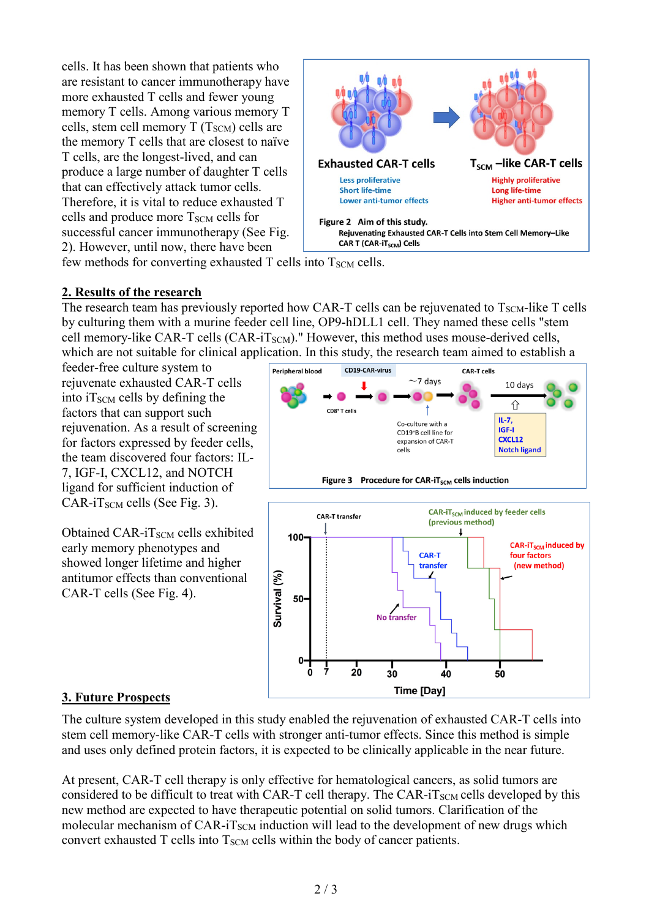cells. It has been shown that patients who are resistant to cancer immunotherapy have more exhausted T cells and fewer young memory T cells. Among various memory T cells, stem cell memory  $T(T_{SCM})$  cells are the memory T cells that are closest to naïve T cells, are the longest-lived, and can produce a large number of daughter T cells that can effectively attack tumor cells. Therefore, it is vital to reduce exhausted T cells and produce more T<sub>SCM</sub> cells for successful cancer immunotherapy (See Fig. 2). However, until now, there have been



few methods for converting exhausted T cells into  $T_{SCM}$  cells.

#### **2. Results of the research**

The research team has previously reported how CAR-T cells can be rejuvenated to  $T_{SCM}$ -like T cells by culturing them with a murine feeder cell line, OP9-hDLL1 cell. They named these cells "stem cell memory-like CAR-T cells  $(CAR-iT<sub>SCM</sub>)$ ." However, this method uses mouse-derived cells, which are not suitable for clinical application. In this study, the research team aimed to establish a

feeder-free culture system to rejuvenate exhausted CAR-T cells into  $i_{\text{SCM}}$  cells by defining the factors that can support such rejuvenation. As a result of screening for factors expressed by feeder cells, the team discovered four factors: IL-7, IGF-I, CXCL12, and NOTCH ligand for sufficient induction of  $CAR$ -iT<sub>SCM</sub> cells (See Fig. 3).

Obtained CAR- $i$ T<sub>SCM</sub> cells exhibited early memory phenotypes and showed longer lifetime and higher antitumor effects than conventional CAR-T cells (See Fig. 4).





### **3. Future Prospects**

The culture system developed in this study enabled the rejuvenation of exhausted CAR-T cells into stem cell memory-like CAR-T cells with stronger anti-tumor effects. Since this method is simple and uses only defined protein factors, it is expected to be clinically applicable in the near future.

At present, CAR-T cell therapy is only effective for hematological cancers, as solid tumors are considered to be difficult to treat with CAR-T cell therapy. The CAR- $i_{\text{SCM}}$  cells developed by this new method are expected to have therapeutic potential on solid tumors. Clarification of the molecular mechanism of CAR-iT<sub>SCM</sub> induction will lead to the development of new drugs which convert exhausted  $T$  cells into  $T_{SCM}$  cells within the body of cancer patients.